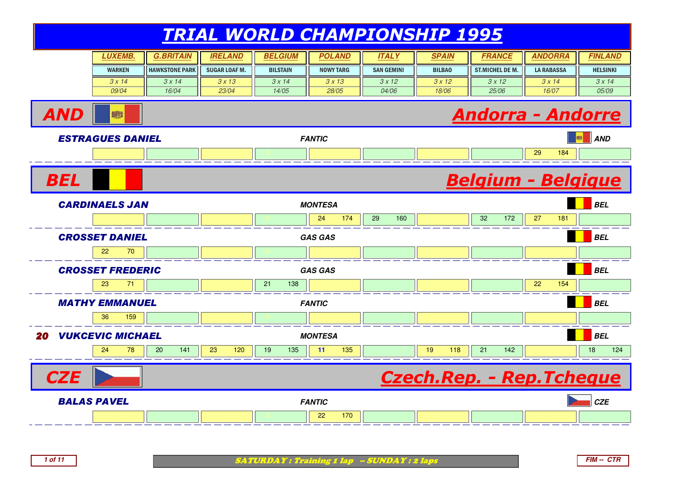| <i><b>LUXEMB.</b></i> | G.BRITAIN             | <b>IRELAND</b>       | <i><b>BELGIUM</b></i> | POLAND           | <b>ITAL Y</b>     | SPAIN         | FRANCE              | ANDORRA           | <b>FINLAND</b>  |
|-----------------------|-----------------------|----------------------|-----------------------|------------------|-------------------|---------------|---------------------|-------------------|-----------------|
| <b>WARKEN</b>         | <b>HAWKSTONE PARK</b> | <b>SUGAR LOAF M.</b> | <b>BILSTAIN</b>       | <b>NOWY TARG</b> | <b>SAN GEMINI</b> | <b>BILBAO</b> | ST.MICHELDEM.       | <b>LA RABASSA</b> | <b>HELSINKI</b> |
| 3 x 14                | 3x14                  | 3x13                 | 3 x 14                | 3x13             | 3x12              | 3x12          | 3x12                | 3x14              | 3x14            |
| 09/04                 | 16/04                 | 23/04                | 14/05                 | 28/05            | 04/06             | 18/06         | <i><b>25/06</b></i> | 16/07             | 05/09           |



**1 of 11**

AND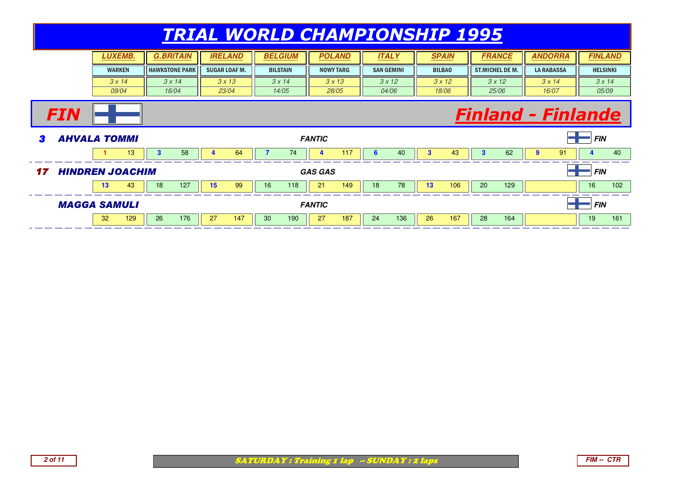|            |  |                        |              |                       | <i><b>TRIAL WORLD CHAMPIONSHIP 1995</b></i> |                      |                 |     |                       |                   |      |              |               |                           |                        |                   |      |                 |     |
|------------|--|------------------------|--------------|-----------------------|---------------------------------------------|----------------------|-----------------|-----|-----------------------|-------------------|------|--------------|---------------|---------------------------|------------------------|-------------------|------|-----------------|-----|
|            |  | LUXEMB.                |              | <b>G.BRITAIN</b>      |                                             | <b>IRELAND</b>       | <b>BELGIUM</b>  |     | <b>POLAND</b>         | <b>ITALY</b>      |      |              | <b>SPAIN</b>  |                           | <b>FRANCE</b>          | <b>ANDORRA</b>    |      | <b>FINLAND</b>  |     |
|            |  | <b>WARKEN</b>          |              | <b>HAWKSTONE PARK</b> |                                             | <b>SUGAR LOAF M.</b> | <b>BILSTAIN</b> |     | <b>NOWY TARG</b>      | <b>SAN GEMINI</b> |      |              | <b>BILBAO</b> |                           | <b>ST.MICHEL DE M.</b> | <b>LA RABASSA</b> |      | <b>HELSINKI</b> |     |
|            |  | 3x14                   |              | 3x14                  |                                             | 3x13                 | 3x14            |     | 3x13                  |                   | 3x12 |              | 3x12          |                           | 3x12                   |                   | 3x14 | 3x14            |     |
|            |  | 09/04                  |              | 16/04                 |                                             | 23/04                | 14/05           |     | 28/05                 | 04/06             |      |              | 18/06         |                           | 25/06                  | 16/07             |      | 05/09           |     |
| <b>FIN</b> |  |                        |              |                       |                                             |                      |                 |     |                       |                   |      |              |               | <b>Finland - Finlande</b> |                        |                   |      |                 |     |
|            |  | <b>AHVALA TOMMI</b>    |              |                       |                                             |                      |                 |     |                       |                   |      |              |               |                           |                        |                   |      |                 |     |
|            |  |                        |              |                       |                                             |                      |                 |     | <b>FANTIC</b>         |                   |      |              |               |                           |                        |                   |      | <b>FIN</b>      |     |
|            |  | 13                     | $\mathbf{3}$ | 58                    |                                             | 64                   |                 | 74  | 117<br>$\overline{a}$ | 6                 | 40   | $\mathbf{3}$ | 43            | $\mathbf{3}$              | 62                     | 9                 | 91   |                 | 40  |
| 17         |  | <b>HINDREN JOACHIM</b> |              |                       |                                             |                      |                 |     | <b>GAS GAS</b>        |                   |      |              |               |                           |                        |                   |      | <b>FIN</b>      |     |
|            |  | 43<br>13               | 18           | 127                   | 15                                          | 99                   | 16              | 118 | 21<br>149             | 18                | 78   | 13           | 106           | 20                        | 129                    |                   |      | 16              | 102 |
|            |  | <b>MAGGA SAMULI</b>    |              |                       |                                             |                      |                 |     | <b>FANTIC</b>         |                   |      |              |               |                           |                        |                   |      | <b>FIN</b>      |     |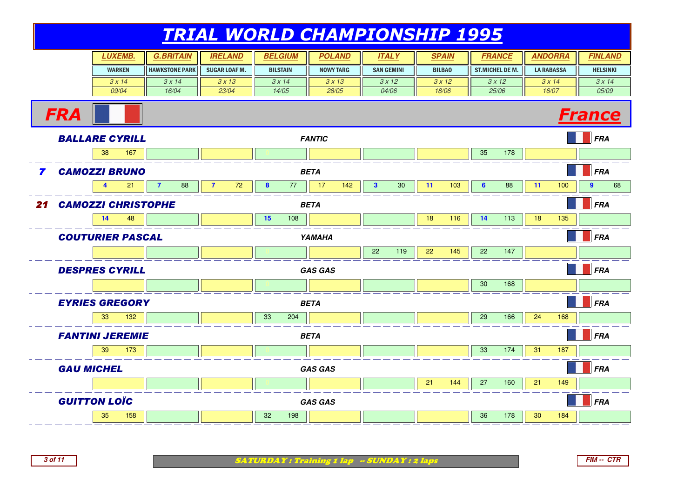|    |                   | <b>LUXEMB.</b>            | <b>G.BRITAIN</b>      | <b>IRELAND</b>       | <b>BELGIUM</b>  | <b>POLAND</b>    | <b>ITALY</b>                      | <b>SPAIN</b>  | <b>FRANCE</b>          | <b>ANDORRA</b>         | <b>FINLAND</b>         |
|----|-------------------|---------------------------|-----------------------|----------------------|-----------------|------------------|-----------------------------------|---------------|------------------------|------------------------|------------------------|
|    |                   | <b>WARKEN</b>             | <b>HAWKSTONE PARK</b> | <b>SUGAR LOAF M.</b> | <b>BILSTAIN</b> | <b>NOWY TARG</b> | <b>SAN GEMINI</b>                 | <b>BILBAO</b> | <b>ST.MICHEL DE M.</b> | <b>LA RABASSA</b>      | <b>HELSINKI</b>        |
|    |                   | 3x14                      | 3x14                  | 3x13                 | 3x14            | 3x13             | 3x12                              | 3x12          | 3x12                   | 3x14                   | 3x14                   |
|    |                   | 09/04                     | 16/04                 | 23/04                | 14/05           | 28/05            | 04/06                             | 18/06         | 25/06                  | 16/07                  | 05/09                  |
|    | <b>FRA</b>        |                           |                       |                      |                 |                  |                                   |               |                        |                        | <b>France</b>          |
|    |                   | <b>BALLARE CYRILL</b>     |                       |                      |                 | <b>FANTIC</b>    |                                   |               |                        |                        | FRA                    |
|    |                   | 38<br>167                 |                       |                      |                 |                  |                                   |               | 178<br>35              |                        |                        |
| 7  |                   | <b>CAMOZZI BRUNO</b>      |                       |                      |                 | <b>BETA</b>      |                                   |               |                        |                        | FRA                    |
|    |                   | 4<br>21                   | $\overline{7}$<br>88  | $\overline{7}$<br>72 | 77<br>8         | 17<br>142        | 3 <sup>1</sup><br>30 <sup>°</sup> | 11<br>103     | $6\phantom{1}$<br>88   | 11<br>100              | 68<br>$\boldsymbol{9}$ |
| 21 |                   | <b>CAMOZZI CHRISTOPHE</b> |                       |                      |                 | <b>BETA</b>      |                                   |               |                        |                        | FRA                    |
|    |                   | 14<br>48                  |                       |                      | 15<br>108       |                  |                                   | 18<br>116     | 113<br>14              | 18<br>135              |                        |
|    |                   | <b>COUTURIER PASCAL</b>   |                       |                      |                 | <b>YAMAHA</b>    |                                   |               |                        |                        | FRA                    |
|    |                   |                           |                       |                      |                 |                  | 22<br>119                         | 22<br>145     | 22<br>147              |                        |                        |
|    |                   | <b>DESPRES CYRILL</b>     |                       |                      |                 | <b>GAS GAS</b>   |                                   |               |                        |                        | $\blacksquare$ FRA     |
|    |                   |                           |                       |                      |                 |                  |                                   |               | 30<br>168              |                        |                        |
|    |                   | <b>EYRIES GREGORY</b>     |                       |                      |                 | <b>BETA</b>      |                                   |               |                        |                        | FRA                    |
|    |                   | 33<br>132                 |                       |                      | 33<br>204       |                  |                                   |               | 29<br>166              | 24<br>168              |                        |
|    |                   | <b>FANTINI JEREMIE</b>    |                       |                      |                 | <b>BETA</b>      |                                   |               |                        |                        | FRA                    |
|    |                   | 39<br>173                 |                       |                      |                 |                  |                                   |               | 33<br>174              | 31<br>187              |                        |
|    | <b>GAU MICHEL</b> |                           |                       |                      |                 | <b>GAS GAS</b>   |                                   |               |                        |                        | <b>FRA</b>             |
|    |                   |                           |                       |                      |                 |                  |                                   | 21<br>144     | 27<br>160              | 21<br>149              |                        |
|    |                   | <b>GUITTON LOÏC</b>       |                       |                      |                 | <b>GAS GAS</b>   |                                   |               |                        |                        | FRA                    |
|    |                   | 35<br>158                 |                       |                      | 32<br>198       |                  |                                   |               | 36<br>178              | 30 <sub>o</sub><br>184 |                        |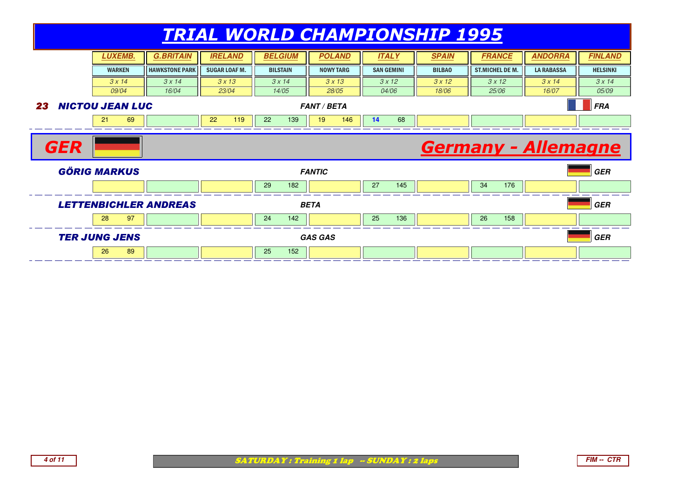|            |                                        |                              |                     |                 | <u>TRIAL WORLD CHAMPIONSHIP 1995</u> |                   |               |                            |                   |                 |
|------------|----------------------------------------|------------------------------|---------------------|-----------------|--------------------------------------|-------------------|---------------|----------------------------|-------------------|-----------------|
|            | <b>LUXEMB.</b>                         | <b>G.BRITAIN</b>             | <b>IRELAND</b>      | <b>BELGIUM</b>  | <b>POLAND</b>                        | <b>ITALY</b>      | <b>SPAIN</b>  | <b>FRANCE</b>              | <b>ANDORRA</b>    | <b>FINLAND</b>  |
|            | <b>HAWKSTONE PARK</b><br><b>WARKEN</b> |                              | <b>SUGAR LOAF M</b> | <b>BILSTAIN</b> | <b>NOWY TARG</b>                     | <b>SAN GEMINI</b> | <b>BILBAO</b> | <b>ST.MICHEL DE M.</b>     | <b>LA RABASSA</b> | <b>HELSINKI</b> |
|            | 3x14                                   | 3x14                         | 3x13                | 3x14            | 3x13                                 | 3x12              | 3x12          | 3x12                       | 3x14              | 3x14            |
|            | 09/04                                  | 16/04                        | 23/04               | 14/05           | 28/05                                | 04/06             | 18/06         | 25/06                      | 16/07             | 05/09           |
| 23         | <b>NICTOU JEAN LUC</b>                 |                              |                     |                 | <b>FANT / BETA</b>                   |                   |               |                            |                   | <b>FRA</b>      |
|            | 21<br>69                               |                              | 119<br>22           | 22<br>139       | 19<br>146                            | 68<br>14          |               |                            |                   |                 |
|            |                                        |                              |                     |                 |                                      |                   |               |                            |                   |                 |
| <b>GER</b> |                                        |                              |                     |                 |                                      |                   |               | <b>Germany - Allemagne</b> |                   |                 |
|            | <b>GÖRIG MARKUS</b>                    |                              |                     |                 | <b>FANTIC</b>                        |                   |               |                            |                   | <b>GER</b>      |
|            |                                        |                              |                     | 29<br>182       |                                      | 27<br>145         |               | 34<br>176                  |                   |                 |
|            |                                        | <b>LETTENBICHLER ANDREAS</b> |                     |                 | <b>BETA</b>                          |                   |               |                            |                   | <b>GER</b>      |
|            | 28<br>97                               |                              |                     | 142<br>24       |                                      | 25<br>136         |               | 26<br>158                  |                   |                 |
|            | <b>TER JUNG JENS</b>                   |                              |                     |                 | <b>GAS GAS</b>                       |                   |               |                            |                   | <b>GER</b>      |



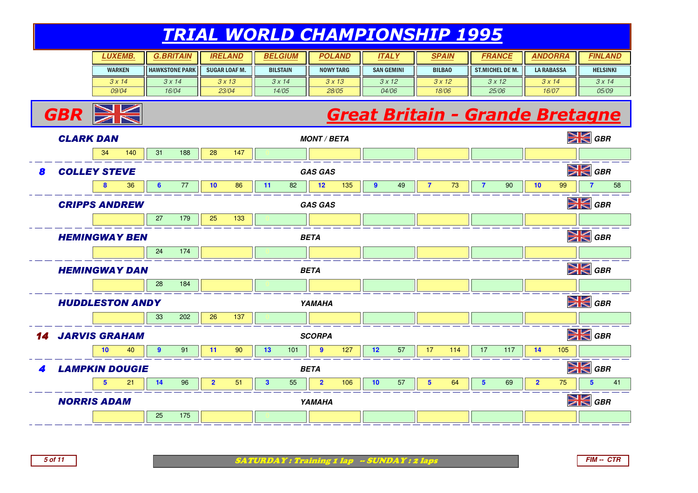| LUXEMB.       | G.BRITAIN             | <b>IRELAND</b>       | <b>BELGIUM</b>  | <b>POLAND</b>    | <b>ITALY</b>      | <b>SPAIN</b>  | <i><b>FRANCE</b></i>   | ANDORRA           | <b>FINLAND</b>  |
|---------------|-----------------------|----------------------|-----------------|------------------|-------------------|---------------|------------------------|-------------------|-----------------|
| <b>WARKEN</b> | <b>HAWKSTONE PARK</b> | <b>SUGAR LOAF M.</b> | <b>BILSTAIN</b> | <b>NOWY TARG</b> | <b>SAN GEMINI</b> | <b>BILBAO</b> | <b>ST.MICHEL DE M.</b> | <b>LA RABASSA</b> | <b>HELSINKI</b> |
| 3x14          | 3x14                  | 3 x 13               | 3 x 14          | 3x13             | 3x12              | 3x12          | 3x12                   | 3x14              | 3x14            |
| 09/04         | 16/04                 | 23/04                | 14/05           | 28/05            | <i>04/06</i>      | 18/06         | <i>25/06</i>           | 16/07             | 05/09           |

# **Great Britain - Grande Bretagne**<br> *GRETA*



**GBR**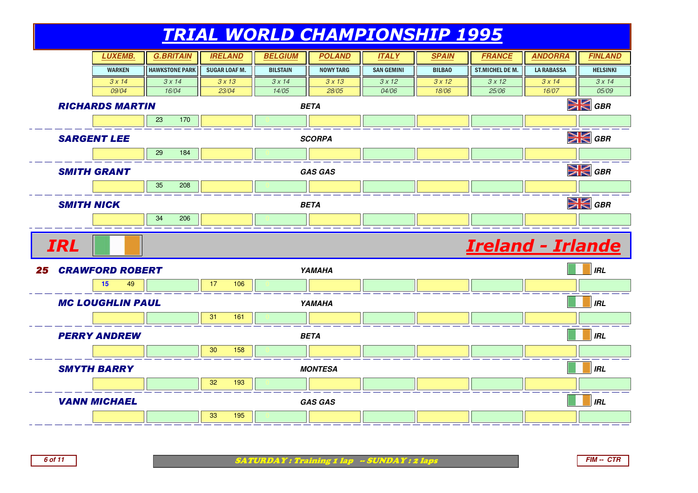

**FIM -- CTR**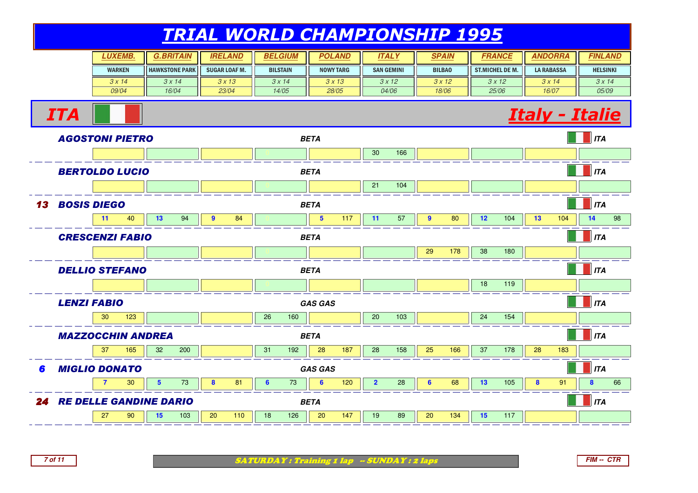| <i><b>LUXEMB.</b></i> | G.BRITAIN               | <b>IRELAND</b>       | <i><b>BELGIUM</b></i> | <b>POLAND</b>    | ITAL Y            | <b>SPAIN</b>  | FRANCE                 | <b>ANDORRA</b>    | <b>FINLAND</b>  |
|-----------------------|-------------------------|----------------------|-----------------------|------------------|-------------------|---------------|------------------------|-------------------|-----------------|
| <b>WARKEN</b>         | <b>I HAWKSTONE PARK</b> | <b>SUGAR LOAF M.</b> | <b>BILSTAIN</b>       | <b>NOWY TARG</b> | <b>SAN GEMINI</b> | <b>BILBAO</b> | <b>ST.MICHEL DE M.</b> | <b>LA RABASSA</b> | <b>HELSINKI</b> |
| 3x14                  | 3 x 14                  | 3x13                 | 3 x 14                | 3 x 13           | 3x12              | 3x12          | 3x12                   | 3x14              | 3x14            |
| 09/04                 | 16/04                   | 23/04                | 14/05                 | 28/05            | 04/06             | 18/06         | 25/06                  | 16/07             | 05/09           |





ITA

SATURDAY : Training 1 lap -- SUNDAY : 2 laps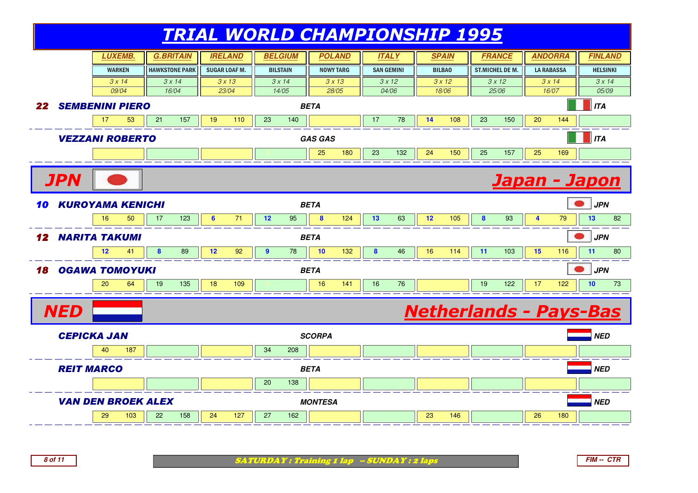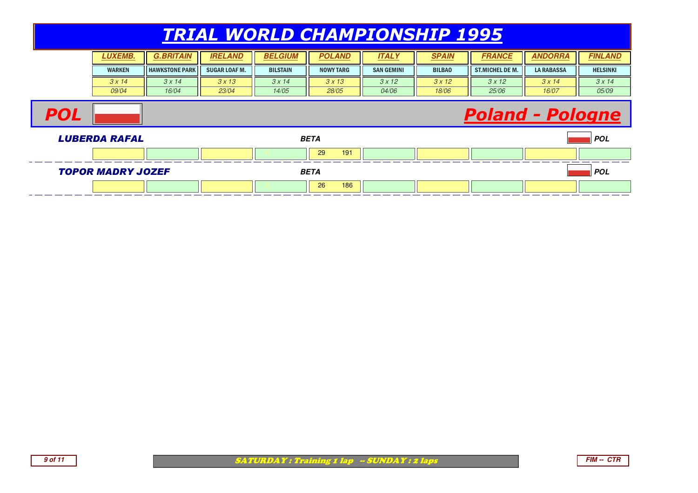#### TRIAL WORLD CHAMPIONSHIP 1995**FRANCE LUXEMB. G.BRITAIN IRELAND BELGIUM POLAND** WARKEN $3 \times 14$  09/04HAWKSTONE PARKSUGAR LOAF M. II BILSTAIN NOWY TARG**ITALY SPAIN FRANCE ANDORRA FINLAND** SAN GEMINI BILBAOST.MICHEL DE M. II LA RABASSA II HELSINKI  $3 \times 14$  16/04 $3 \times 13$  23/04 $3 \times 14$  14/053 x 13 28/05 $3 \times 12$  04/06 $3 \times 12$  18/06 $3 \times 12$  25/06 $3 \times 14$  16/07 $3 \times 14$  05/09**POL**  Poland - PologneLUBERDA RAFAL **BETA POL** <sup>0</sup> <sup>0</sup> <sup>0</sup> <sup>29</sup> <sup>191</sup> <sup>0</sup> <sup>0</sup> <sup>0</sup> <sup>0</sup> <sup>0</sup> TOPOR MADRY JOZEF **BETA POL** <sup>0</sup> <sup>0</sup> <sup>0</sup> <sup>26</sup> <sup>186</sup> <sup>0</sup> <sup>0</sup> <sup>0</sup> <sup>0</sup> <sup>0</sup>



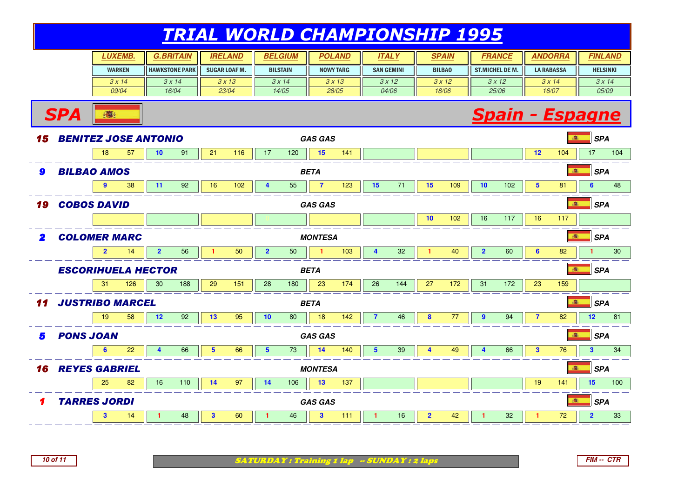| <b>.UXEMB.</b> | <i><b>G.BRITAIN</b></i> | <b>IRELAND</b>       | <i><b>BELGIUM</b></i> | POLAND    | ITAL Y            | <b>SPAIN</b>  | <i><b>FRANCE</b></i> | <i><b>ANDORRA</b></i> | <b>FINLAND</b>  |
|----------------|-------------------------|----------------------|-----------------------|-----------|-------------------|---------------|----------------------|-----------------------|-----------------|
| <b>WARKEN</b>  | <b>HAWKSTONE PARK</b>   | <b>SUGAR LOAF M.</b> | <b>BILSTAIN</b>       | NOWY TARG | <b>SAN GEMINI</b> | <b>BILBAO</b> | ST.MICHEL DE M.      | <b>LA RABASSA</b>     | <b>HELSINKI</b> |
| 3x14           | 3x14                    | 3x13                 | $3 \times 14$         | 3x13      | 3x12              | 3x12          | 3x12                 | 3x14                  | 3x14            |
| <i>09/04</i>   | 16/04                   | 23/04                | 14/05                 | 28/05     | 04/06             | 18/06         | 25/06                | 16/07                 | 05/09           |

#### **Spain - Espagne**



**SPA**